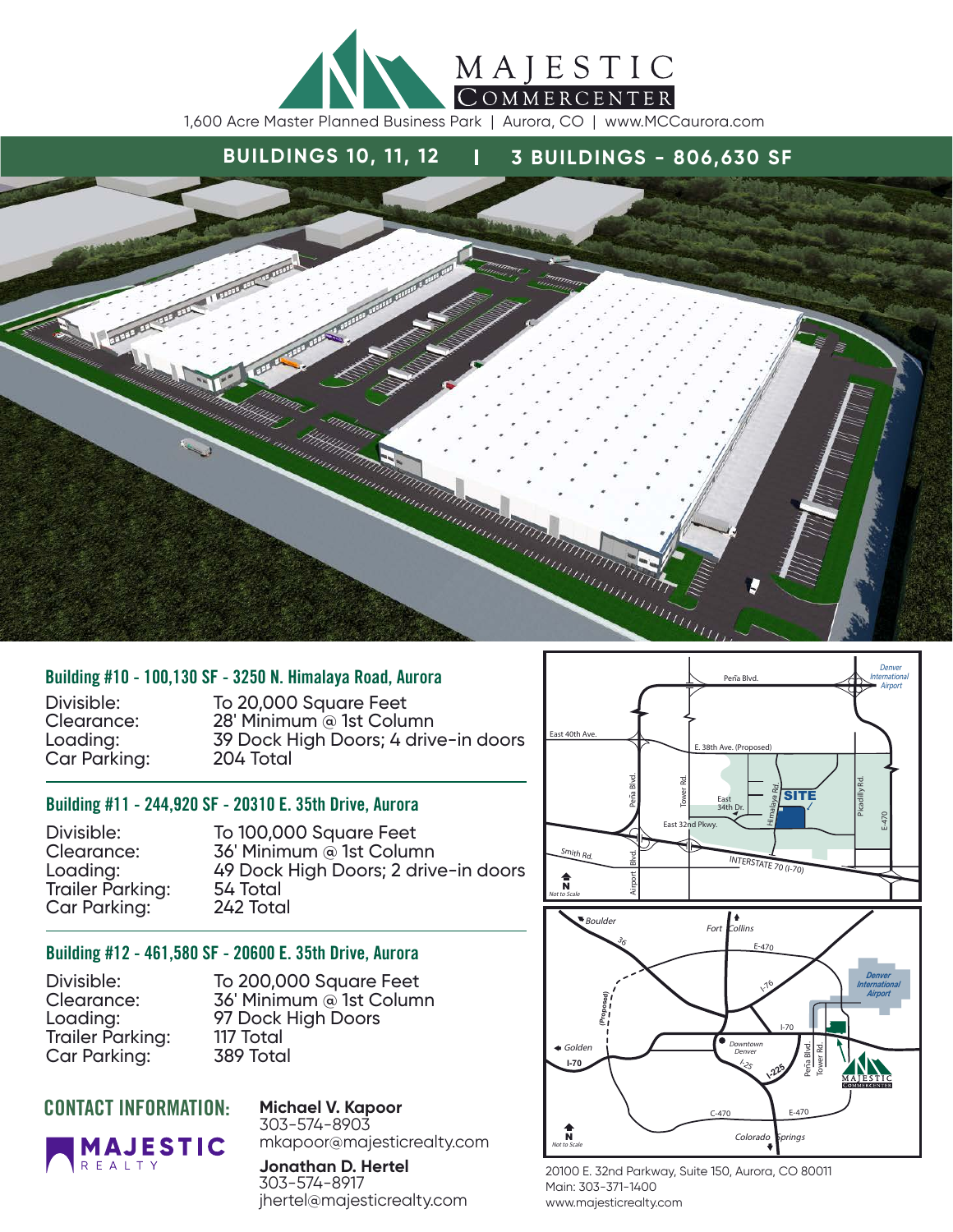

# **BUILDINGS 10, 11, 12** | **3 BUILDINGS - 806,630 SF**



#### Building #10 - 100,130 SF - 3250 N. Himalaya Road, Aurora

Car Parking:

Divisible: To 20,000 Square Feet<br>Clearance: 28' Minimum @ 1st Colui 28' Minimum @ 1st Column Loading: 39 Dock High Doors; 4 drive-in doors

#### Building #11 - 244,920 SF - 20310 E. 35th Drive, Aurora

Trailer Parking: 54 Total<br>Car Parkina: 242 Total Car Parking:

Divisible: To 100,000 Square Feet<br>Clearance: 36' Minimum @ 1st Colum Clearance: 36' Minimum @ 1st Column<br>
Loadina: 49 Dock High Doors; 2 driv 49 Dock High Doors; 2 drive-in doors<br>54 Total

#### Building #12 - 461,580 SF - 20600 E. 35th Drive, Aurora

Trailer Parking: Car Parking: 389 Total

Divisible: To 200,000 Square Feet<br>Clearance: 36' Minimum @ 1st Colum 36' Minimum @ 1st Column Loading: 97 Dock High Doors<br>Trailer Parkina: 117 Total

**Michael V. Kapoor**

### CONTACT INFORMATION:

**REALTY** 

**MAJESTIC** 

303-574-8903 mkapoor@majesticrealty.com

**Jonathan D. Hertel** 303-574-8917 jhertel@majesticrealty.com



20100 E. 32nd Parkway, Suite 150, Aurora, CO 80011 Main: 303-371-1400 www.majesticrealty.com